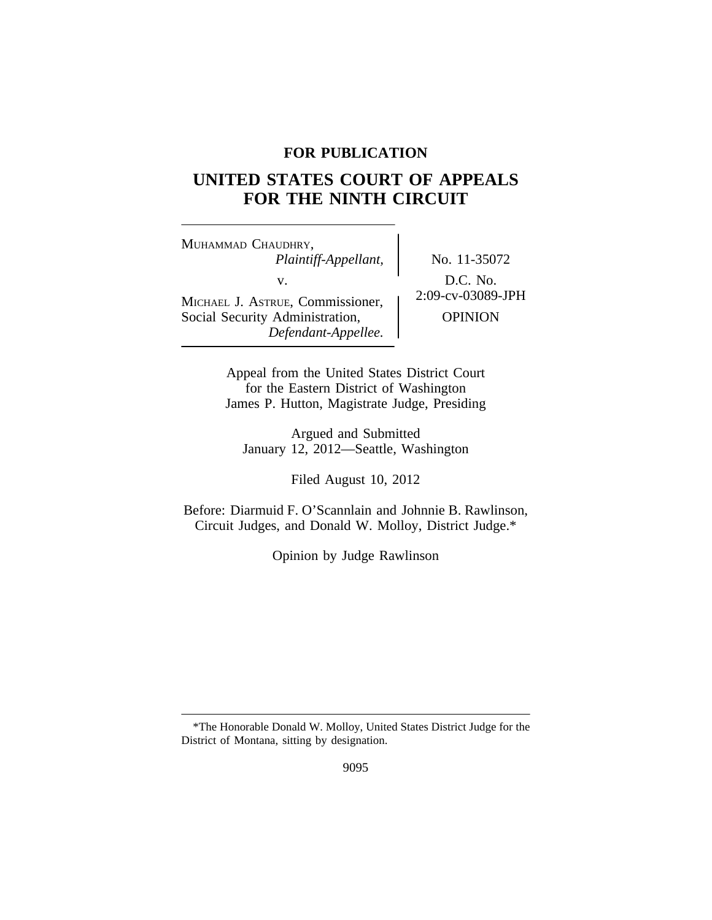# **FOR PUBLICATION**

# **UNITED STATES COURT OF APPEALS FOR THE NINTH CIRCUIT**

<sup>M</sup>UHAMMAD CHAUDHRY, *Plaintiff-Appellant,* No. 11-35072 v.  $D.C. No.$ <br>Formissioner  $\left\{\n \begin{array}{c}\n 2:09-cv-03089\text{-}JPH \\
\end{array}\n\right\}$ MICHAEL J. ASTRUE, Commissioner, Social Security Administration,  $\qquad$  OPINION *Defendant-Appellee.*

Appeal from the United States District Court for the Eastern District of Washington James P. Hutton, Magistrate Judge, Presiding

Argued and Submitted January 12, 2012—Seattle, Washington

Filed August 10, 2012

Before: Diarmuid F. O'Scannlain and Johnnie B. Rawlinson, Circuit Judges, and Donald W. Molloy, District Judge.\*

Opinion by Judge Rawlinson

<sup>\*</sup>The Honorable Donald W. Molloy, United States District Judge for the District of Montana, sitting by designation.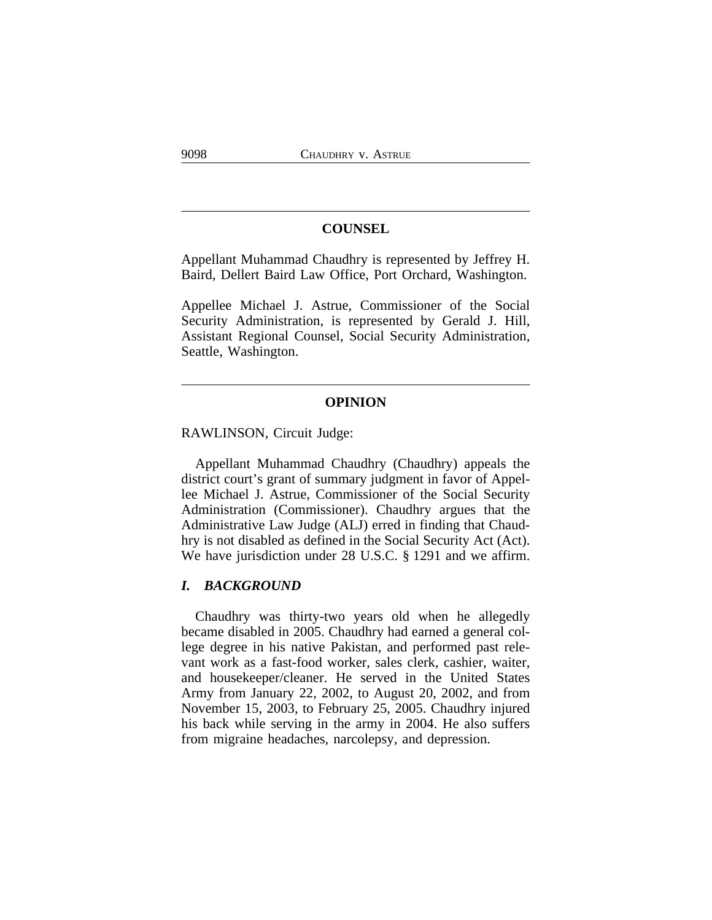# **COUNSEL**

Appellant Muhammad Chaudhry is represented by Jeffrey H. Baird, Dellert Baird Law Office, Port Orchard, Washington.

Appellee Michael J. Astrue, Commissioner of the Social Security Administration, is represented by Gerald J. Hill, Assistant Regional Counsel, Social Security Administration, Seattle, Washington.

# **OPINION**

RAWLINSON, Circuit Judge:

Appellant Muhammad Chaudhry (Chaudhry) appeals the district court's grant of summary judgment in favor of Appellee Michael J. Astrue, Commissioner of the Social Security Administration (Commissioner). Chaudhry argues that the Administrative Law Judge (ALJ) erred in finding that Chaudhry is not disabled as defined in the Social Security Act (Act). We have jurisdiction under 28 U.S.C. § 1291 and we affirm.

#### *I. BACKGROUND*

Chaudhry was thirty-two years old when he allegedly became disabled in 2005. Chaudhry had earned a general college degree in his native Pakistan, and performed past relevant work as a fast-food worker, sales clerk, cashier, waiter, and housekeeper/cleaner. He served in the United States Army from January 22, 2002, to August 20, 2002, and from November 15, 2003, to February 25, 2005. Chaudhry injured his back while serving in the army in 2004. He also suffers from migraine headaches, narcolepsy, and depression.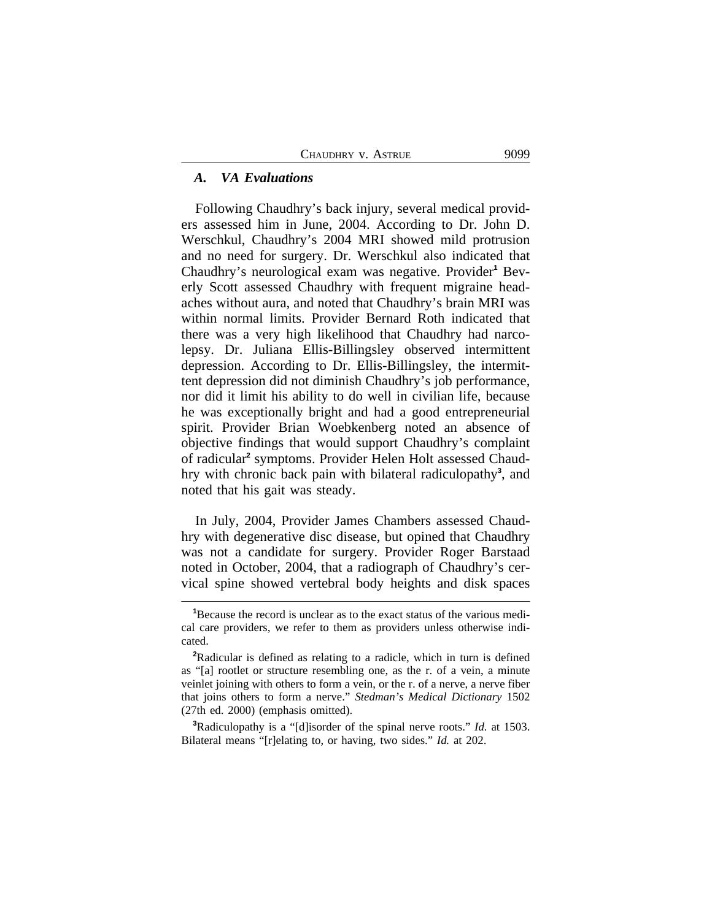### *A. VA Evaluations*

Following Chaudhry's back injury, several medical providers assessed him in June, 2004. According to Dr. John D. Werschkul, Chaudhry's 2004 MRI showed mild protrusion and no need for surgery. Dr. Werschkul also indicated that Chaudhry's neurological exam was negative. Provider**<sup>1</sup>** Beverly Scott assessed Chaudhry with frequent migraine headaches without aura, and noted that Chaudhry's brain MRI was within normal limits. Provider Bernard Roth indicated that there was a very high likelihood that Chaudhry had narcolepsy. Dr. Juliana Ellis-Billingsley observed intermittent depression. According to Dr. Ellis-Billingsley, the intermittent depression did not diminish Chaudhry's job performance, nor did it limit his ability to do well in civilian life, because he was exceptionally bright and had a good entrepreneurial spirit. Provider Brian Woebkenberg noted an absence of objective findings that would support Chaudhry's complaint of radicular**<sup>2</sup>** symptoms. Provider Helen Holt assessed Chaudhry with chronic back pain with bilateral radiculopathy**<sup>3</sup>** , and noted that his gait was steady.

In July, 2004, Provider James Chambers assessed Chaudhry with degenerative disc disease, but opined that Chaudhry was not a candidate for surgery. Provider Roger Barstaad noted in October, 2004, that a radiograph of Chaudhry's cervical spine showed vertebral body heights and disk spaces

**<sup>3</sup>**Radiculopathy is a "[d]isorder of the spinal nerve roots." *Id.* at 1503. Bilateral means "[r]elating to, or having, two sides." *Id.* at 202.

**<sup>1</sup>**Because the record is unclear as to the exact status of the various medical care providers, we refer to them as providers unless otherwise indicated.

**<sup>2</sup>**Radicular is defined as relating to a radicle, which in turn is defined as "[a] rootlet or structure resembling one, as the r. of a vein, a minute veinlet joining with others to form a vein, or the r. of a nerve, a nerve fiber that joins others to form a nerve." *Stedman's Medical Dictionary* 1502 (27th ed. 2000) (emphasis omitted).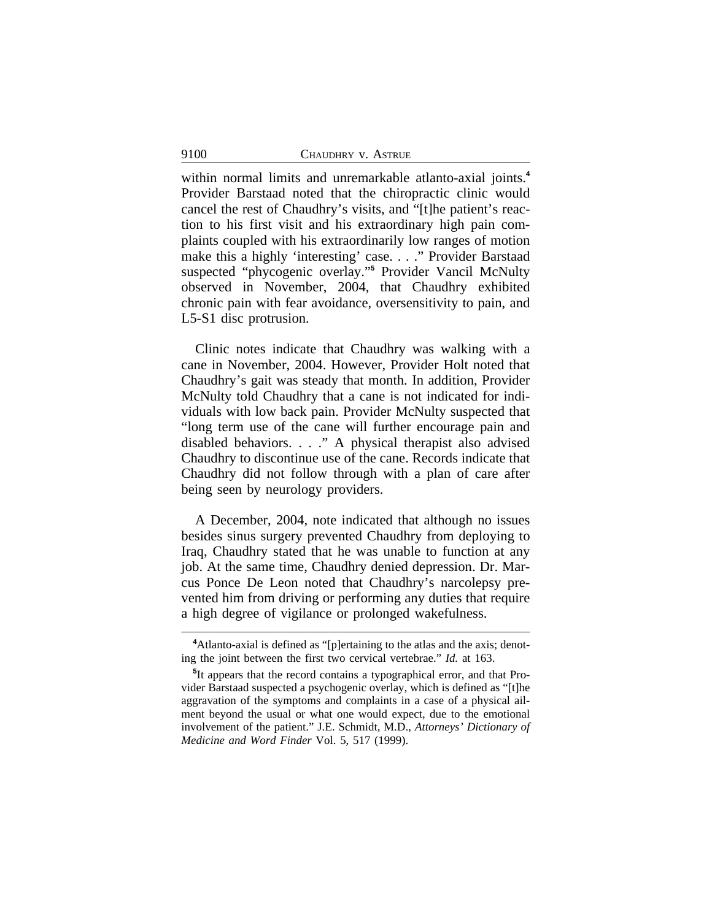within normal limits and unremarkable atlanto-axial joints.**<sup>4</sup>** Provider Barstaad noted that the chiropractic clinic would cancel the rest of Chaudhry's visits, and "[t]he patient's reaction to his first visit and his extraordinary high pain complaints coupled with his extraordinarily low ranges of motion make this a highly 'interesting' case. . . ." Provider Barstaad suspected "phycogenic overlay." **5** Provider Vancil McNulty observed in November, 2004, that Chaudhry exhibited chronic pain with fear avoidance, oversensitivity to pain, and L5-S1 disc protrusion.

Clinic notes indicate that Chaudhry was walking with a cane in November, 2004. However, Provider Holt noted that Chaudhry's gait was steady that month. In addition, Provider McNulty told Chaudhry that a cane is not indicated for individuals with low back pain. Provider McNulty suspected that "long term use of the cane will further encourage pain and disabled behaviors. . . ." A physical therapist also advised Chaudhry to discontinue use of the cane. Records indicate that Chaudhry did not follow through with a plan of care after being seen by neurology providers.

A December, 2004, note indicated that although no issues besides sinus surgery prevented Chaudhry from deploying to Iraq, Chaudhry stated that he was unable to function at any job. At the same time, Chaudhry denied depression. Dr. Marcus Ponce De Leon noted that Chaudhry's narcolepsy prevented him from driving or performing any duties that require a high degree of vigilance or prolonged wakefulness.

**<sup>4</sup>**Atlanto-axial is defined as "[p]ertaining to the atlas and the axis; denoting the joint between the first two cervical vertebrae." *Id.* at 163.

**<sup>5</sup>** It appears that the record contains a typographical error, and that Provider Barstaad suspected a psychogenic overlay, which is defined as "[t]he aggravation of the symptoms and complaints in a case of a physical ailment beyond the usual or what one would expect, due to the emotional involvement of the patient." J.E. Schmidt, M.D., *Attorneys' Dictionary of Medicine and Word Finder* Vol. 5, 517 (1999).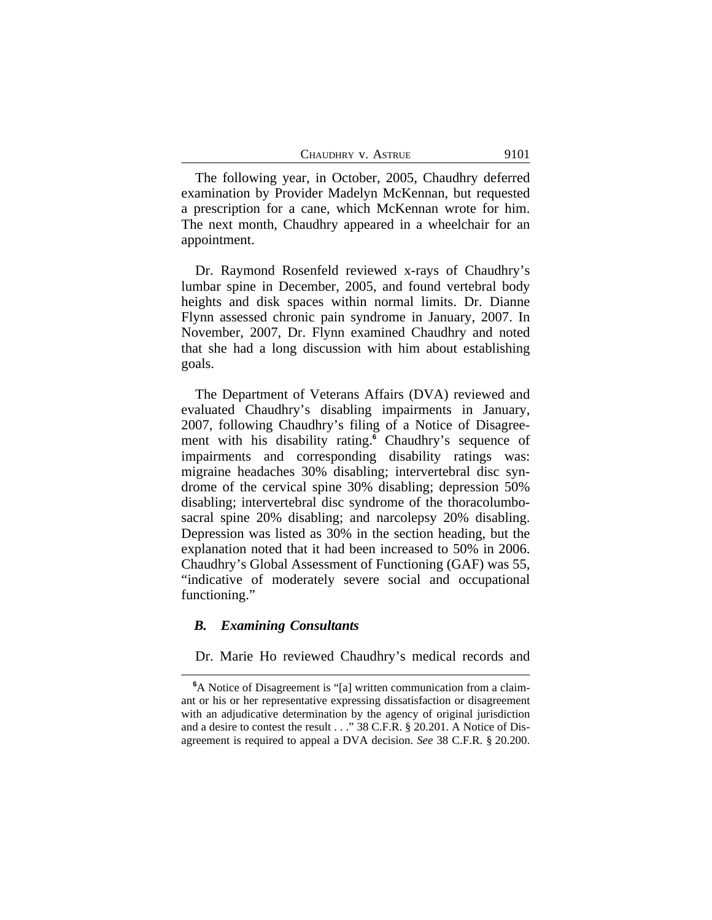| CHAUDHRY V. ASTRUE | 9101 |
|--------------------|------|
|                    |      |

The following year, in October, 2005, Chaudhry deferred examination by Provider Madelyn McKennan, but requested a prescription for a cane, which McKennan wrote for him. The next month, Chaudhry appeared in a wheelchair for an appointment.

Dr. Raymond Rosenfeld reviewed x-rays of Chaudhry's lumbar spine in December, 2005, and found vertebral body heights and disk spaces within normal limits. Dr. Dianne Flynn assessed chronic pain syndrome in January, 2007. In November, 2007, Dr. Flynn examined Chaudhry and noted that she had a long discussion with him about establishing goals.

The Department of Veterans Affairs (DVA) reviewed and evaluated Chaudhry's disabling impairments in January, 2007, following Chaudhry's filing of a Notice of Disagreement with his disability rating.**<sup>6</sup>** Chaudhry's sequence of impairments and corresponding disability ratings was: migraine headaches 30% disabling; intervertebral disc syndrome of the cervical spine 30% disabling; depression 50% disabling; intervertebral disc syndrome of the thoracolumbosacral spine 20% disabling; and narcolepsy 20% disabling. Depression was listed as 30% in the section heading, but the explanation noted that it had been increased to 50% in 2006. Chaudhry's Global Assessment of Functioning (GAF) was 55, "indicative of moderately severe social and occupational functioning."

# *B. Examining Consultants*

Dr. Marie Ho reviewed Chaudhry's medical records and

**<sup>6</sup>**A Notice of Disagreement is "[a] written communication from a claimant or his or her representative expressing dissatisfaction or disagreement with an adjudicative determination by the agency of original jurisdiction and a desire to contest the result . . ." 38 C.F.R. § 20.201. A Notice of Disagreement is required to appeal a DVA decision. *See* 38 C.F.R. § 20.200.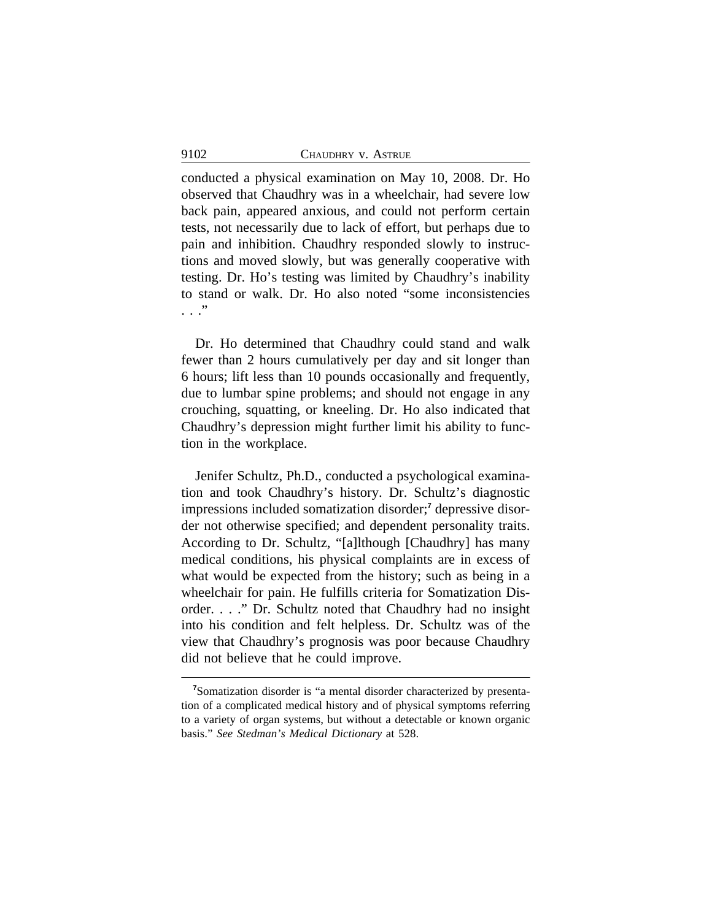conducted a physical examination on May 10, 2008. Dr. Ho observed that Chaudhry was in a wheelchair, had severe low back pain, appeared anxious, and could not perform certain tests, not necessarily due to lack of effort, but perhaps due to pain and inhibition. Chaudhry responded slowly to instructions and moved slowly, but was generally cooperative with testing. Dr. Ho's testing was limited by Chaudhry's inability to stand or walk. Dr. Ho also noted "some inconsistencies . . ."

Dr. Ho determined that Chaudhry could stand and walk fewer than 2 hours cumulatively per day and sit longer than 6 hours; lift less than 10 pounds occasionally and frequently, due to lumbar spine problems; and should not engage in any crouching, squatting, or kneeling. Dr. Ho also indicated that Chaudhry's depression might further limit his ability to function in the workplace.

Jenifer Schultz, Ph.D., conducted a psychological examination and took Chaudhry's history. Dr. Schultz's diagnostic impressions included somatization disorder;<sup>7</sup> depressive disorder not otherwise specified; and dependent personality traits. According to Dr. Schultz, "[a]lthough [Chaudhry] has many medical conditions, his physical complaints are in excess of what would be expected from the history; such as being in a wheelchair for pain. He fulfills criteria for Somatization Disorder. . . ." Dr. Schultz noted that Chaudhry had no insight into his condition and felt helpless. Dr. Schultz was of the view that Chaudhry's prognosis was poor because Chaudhry did not believe that he could improve.

**<sup>7</sup>**Somatization disorder is "a mental disorder characterized by presentation of a complicated medical history and of physical symptoms referring to a variety of organ systems, but without a detectable or known organic basis." *See Stedman's Medical Dictionary* at 528.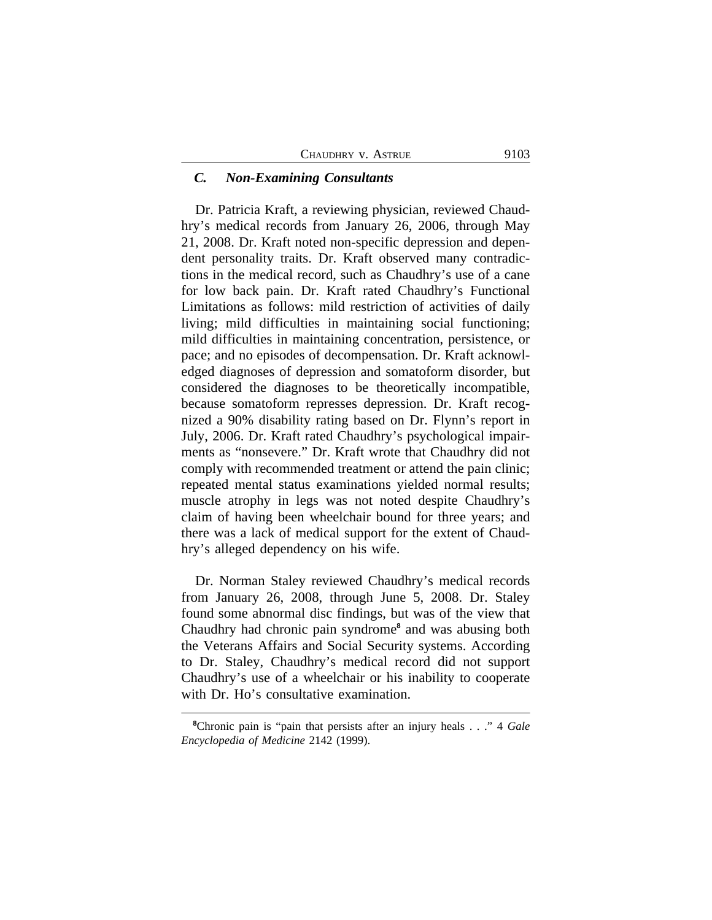#### *C. Non-Examining Consultants*

Dr. Patricia Kraft, a reviewing physician, reviewed Chaudhry's medical records from January 26, 2006, through May 21, 2008. Dr. Kraft noted non-specific depression and dependent personality traits. Dr. Kraft observed many contradictions in the medical record, such as Chaudhry's use of a cane for low back pain. Dr. Kraft rated Chaudhry's Functional Limitations as follows: mild restriction of activities of daily living; mild difficulties in maintaining social functioning; mild difficulties in maintaining concentration, persistence, or pace; and no episodes of decompensation. Dr. Kraft acknowledged diagnoses of depression and somatoform disorder, but considered the diagnoses to be theoretically incompatible, because somatoform represses depression. Dr. Kraft recognized a 90% disability rating based on Dr. Flynn's report in July, 2006. Dr. Kraft rated Chaudhry's psychological impairments as "nonsevere." Dr. Kraft wrote that Chaudhry did not comply with recommended treatment or attend the pain clinic; repeated mental status examinations yielded normal results; muscle atrophy in legs was not noted despite Chaudhry's claim of having been wheelchair bound for three years; and there was a lack of medical support for the extent of Chaudhry's alleged dependency on his wife.

Dr. Norman Staley reviewed Chaudhry's medical records from January 26, 2008, through June 5, 2008. Dr. Staley found some abnormal disc findings, but was of the view that Chaudhry had chronic pain syndrome<sup>8</sup> and was abusing both the Veterans Affairs and Social Security systems. According to Dr. Staley, Chaudhry's medical record did not support Chaudhry's use of a wheelchair or his inability to cooperate with Dr. Ho's consultative examination.

**<sup>8</sup>**Chronic pain is "pain that persists after an injury heals . . ." 4 *Gale Encyclopedia of Medicine* 2142 (1999).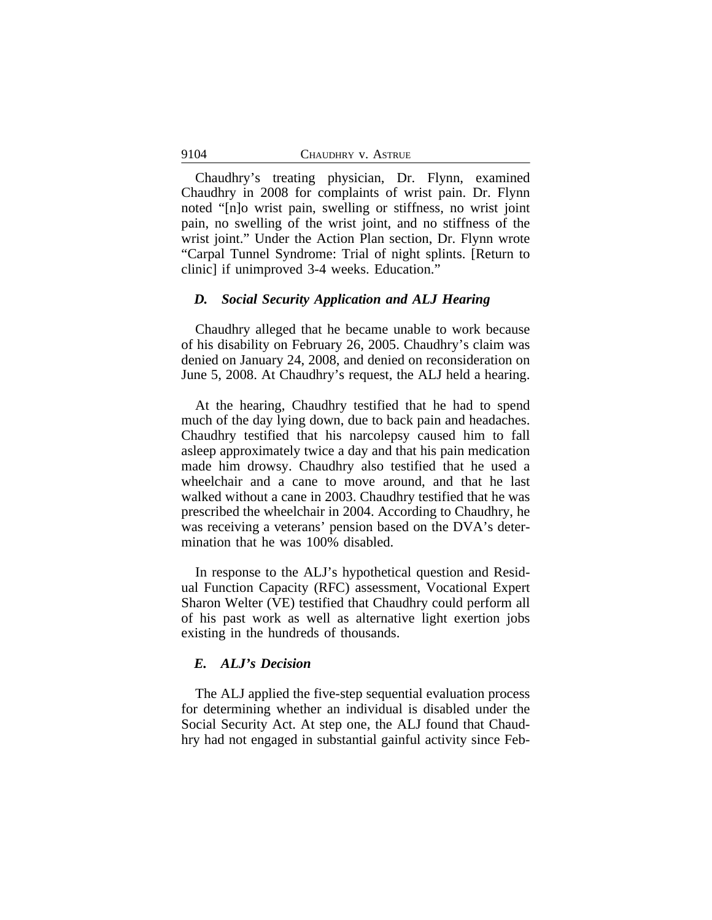Chaudhry's treating physician, Dr. Flynn, examined Chaudhry in 2008 for complaints of wrist pain. Dr. Flynn noted "[n]o wrist pain, swelling or stiffness, no wrist joint pain, no swelling of the wrist joint, and no stiffness of the wrist joint." Under the Action Plan section, Dr. Flynn wrote "Carpal Tunnel Syndrome: Trial of night splints. [Return to clinic] if unimproved 3-4 weeks. Education."

### *D. Social Security Application and ALJ Hearing*

Chaudhry alleged that he became unable to work because of his disability on February 26, 2005. Chaudhry's claim was denied on January 24, 2008, and denied on reconsideration on June 5, 2008. At Chaudhry's request, the ALJ held a hearing.

At the hearing, Chaudhry testified that he had to spend much of the day lying down, due to back pain and headaches. Chaudhry testified that his narcolepsy caused him to fall asleep approximately twice a day and that his pain medication made him drowsy. Chaudhry also testified that he used a wheelchair and a cane to move around, and that he last walked without a cane in 2003. Chaudhry testified that he was prescribed the wheelchair in 2004. According to Chaudhry, he was receiving a veterans' pension based on the DVA's determination that he was 100% disabled.

In response to the ALJ's hypothetical question and Residual Function Capacity (RFC) assessment, Vocational Expert Sharon Welter (VE) testified that Chaudhry could perform all of his past work as well as alternative light exertion jobs existing in the hundreds of thousands.

# *E. ALJ's Decision*

The ALJ applied the five-step sequential evaluation process for determining whether an individual is disabled under the Social Security Act. At step one, the ALJ found that Chaudhry had not engaged in substantial gainful activity since Feb-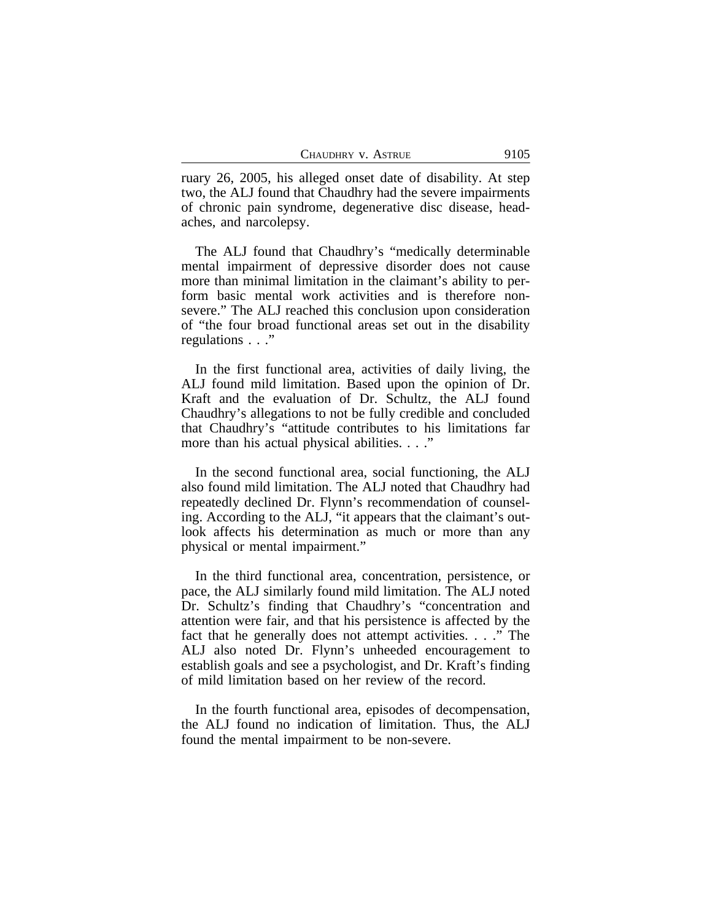ruary 26, 2005, his alleged onset date of disability. At step two, the ALJ found that Chaudhry had the severe impairments of chronic pain syndrome, degenerative disc disease, headaches, and narcolepsy.

The ALJ found that Chaudhry's "medically determinable mental impairment of depressive disorder does not cause more than minimal limitation in the claimant's ability to perform basic mental work activities and is therefore nonsevere." The ALJ reached this conclusion upon consideration of "the four broad functional areas set out in the disability regulations . . ."

In the first functional area, activities of daily living, the ALJ found mild limitation. Based upon the opinion of Dr. Kraft and the evaluation of Dr. Schultz, the ALJ found Chaudhry's allegations to not be fully credible and concluded that Chaudhry's "attitude contributes to his limitations far more than his actual physical abilities.  $\ldots$ "

In the second functional area, social functioning, the ALJ also found mild limitation. The ALJ noted that Chaudhry had repeatedly declined Dr. Flynn's recommendation of counseling. According to the ALJ, "it appears that the claimant's outlook affects his determination as much or more than any physical or mental impairment."

In the third functional area, concentration, persistence, or pace, the ALJ similarly found mild limitation. The ALJ noted Dr. Schultz's finding that Chaudhry's "concentration and attention were fair, and that his persistence is affected by the fact that he generally does not attempt activities. . . ." The ALJ also noted Dr. Flynn's unheeded encouragement to establish goals and see a psychologist, and Dr. Kraft's finding of mild limitation based on her review of the record.

In the fourth functional area, episodes of decompensation, the ALJ found no indication of limitation. Thus, the ALJ found the mental impairment to be non-severe.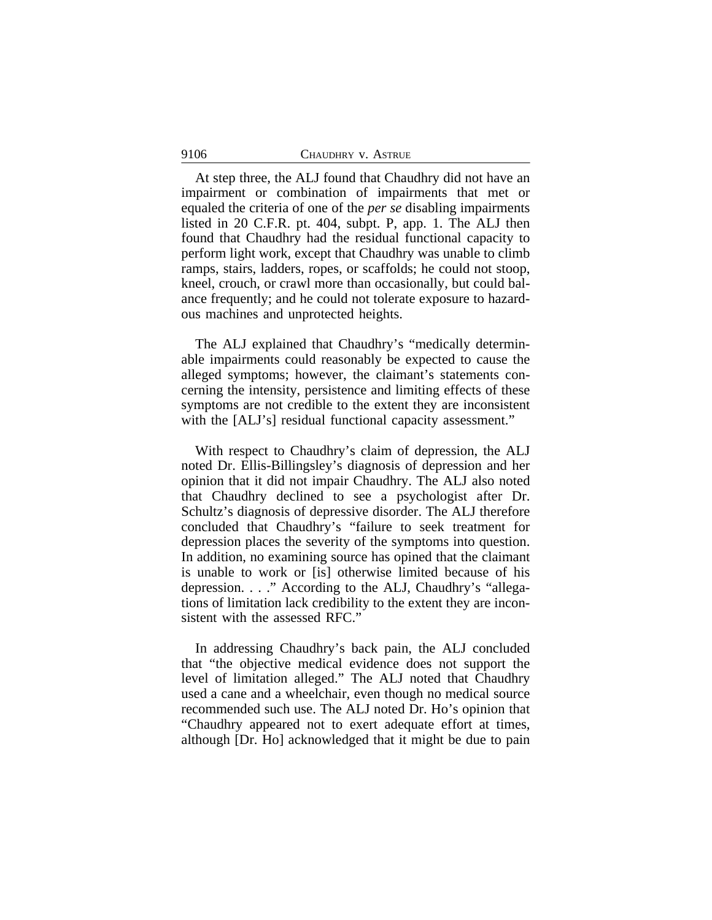At step three, the ALJ found that Chaudhry did not have an impairment or combination of impairments that met or equaled the criteria of one of the *per se* disabling impairments listed in 20 C.F.R. pt. 404, subpt. P, app. 1. The ALJ then found that Chaudhry had the residual functional capacity to perform light work, except that Chaudhry was unable to climb ramps, stairs, ladders, ropes, or scaffolds; he could not stoop, kneel, crouch, or crawl more than occasionally, but could balance frequently; and he could not tolerate exposure to hazardous machines and unprotected heights.

The ALJ explained that Chaudhry's "medically determinable impairments could reasonably be expected to cause the alleged symptoms; however, the claimant's statements concerning the intensity, persistence and limiting effects of these symptoms are not credible to the extent they are inconsistent with the [ALJ's] residual functional capacity assessment."

With respect to Chaudhry's claim of depression, the ALJ noted Dr. Ellis-Billingsley's diagnosis of depression and her opinion that it did not impair Chaudhry. The ALJ also noted that Chaudhry declined to see a psychologist after Dr. Schultz's diagnosis of depressive disorder. The ALJ therefore concluded that Chaudhry's "failure to seek treatment for depression places the severity of the symptoms into question. In addition, no examining source has opined that the claimant is unable to work or [is] otherwise limited because of his depression. . . ." According to the ALJ, Chaudhry's "allegations of limitation lack credibility to the extent they are inconsistent with the assessed RFC."

In addressing Chaudhry's back pain, the ALJ concluded that "the objective medical evidence does not support the level of limitation alleged." The ALJ noted that Chaudhry used a cane and a wheelchair, even though no medical source recommended such use. The ALJ noted Dr. Ho's opinion that "Chaudhry appeared not to exert adequate effort at times, although [Dr. Ho] acknowledged that it might be due to pain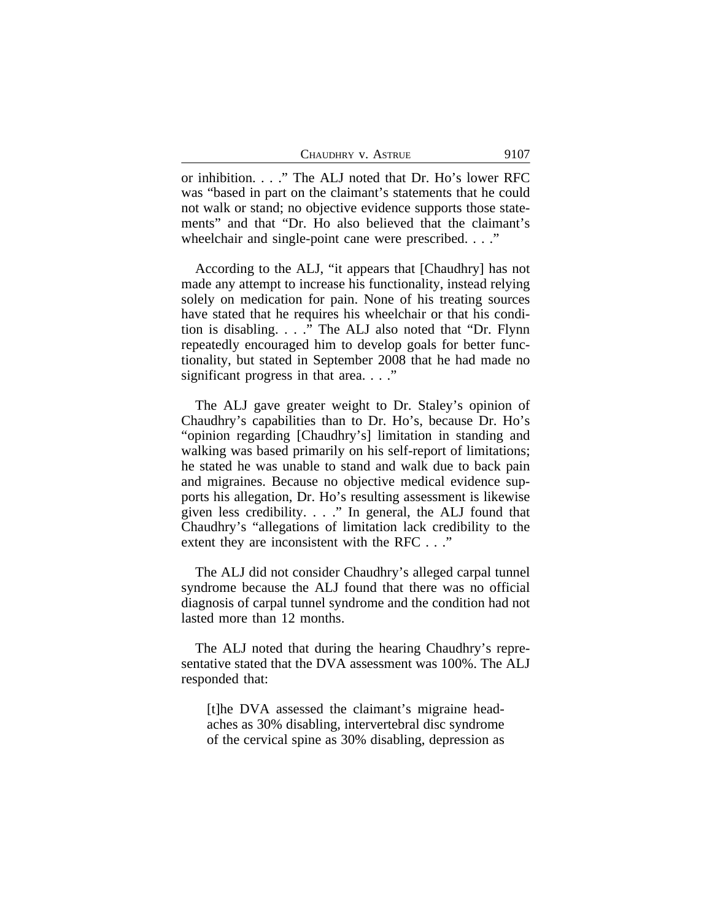| 9107 |
|------|
|      |

or inhibition. . . ." The ALJ noted that Dr. Ho's lower RFC was "based in part on the claimant's statements that he could not walk or stand; no objective evidence supports those statements" and that "Dr. Ho also believed that the claimant's wheelchair and single-point cane were prescribed. . . ."

According to the ALJ, "it appears that [Chaudhry] has not made any attempt to increase his functionality, instead relying solely on medication for pain. None of his treating sources have stated that he requires his wheelchair or that his condition is disabling. . . ." The ALJ also noted that "Dr. Flynn repeatedly encouraged him to develop goals for better functionality, but stated in September 2008 that he had made no significant progress in that area. . . ."

The ALJ gave greater weight to Dr. Staley's opinion of Chaudhry's capabilities than to Dr. Ho's, because Dr. Ho's "opinion regarding [Chaudhry's] limitation in standing and walking was based primarily on his self-report of limitations; he stated he was unable to stand and walk due to back pain and migraines. Because no objective medical evidence supports his allegation, Dr. Ho's resulting assessment is likewise given less credibility. . . ." In general, the ALJ found that Chaudhry's "allegations of limitation lack credibility to the extent they are inconsistent with the RFC . . ."

The ALJ did not consider Chaudhry's alleged carpal tunnel syndrome because the ALJ found that there was no official diagnosis of carpal tunnel syndrome and the condition had not lasted more than 12 months.

The ALJ noted that during the hearing Chaudhry's representative stated that the DVA assessment was 100%. The ALJ responded that:

[t]he DVA assessed the claimant's migraine headaches as 30% disabling, intervertebral disc syndrome of the cervical spine as 30% disabling, depression as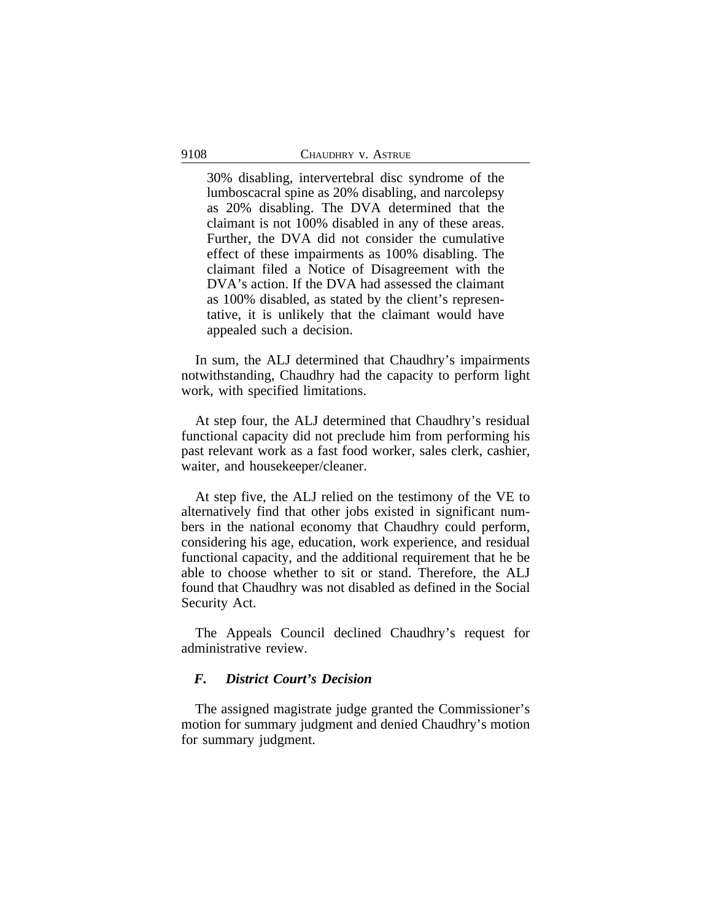30% disabling, intervertebral disc syndrome of the lumboscacral spine as 20% disabling, and narcolepsy as 20% disabling. The DVA determined that the claimant is not 100% disabled in any of these areas. Further, the DVA did not consider the cumulative effect of these impairments as 100% disabling. The claimant filed a Notice of Disagreement with the DVA's action. If the DVA had assessed the claimant as 100% disabled, as stated by the client's representative, it is unlikely that the claimant would have appealed such a decision.

In sum, the ALJ determined that Chaudhry's impairments notwithstanding, Chaudhry had the capacity to perform light work, with specified limitations.

At step four, the ALJ determined that Chaudhry's residual functional capacity did not preclude him from performing his past relevant work as a fast food worker, sales clerk, cashier, waiter, and housekeeper/cleaner.

At step five, the ALJ relied on the testimony of the VE to alternatively find that other jobs existed in significant numbers in the national economy that Chaudhry could perform, considering his age, education, work experience, and residual functional capacity, and the additional requirement that he be able to choose whether to sit or stand. Therefore, the ALJ found that Chaudhry was not disabled as defined in the Social Security Act.

The Appeals Council declined Chaudhry's request for administrative review.

# *F. District Court's Decision*

The assigned magistrate judge granted the Commissioner's motion for summary judgment and denied Chaudhry's motion for summary judgment.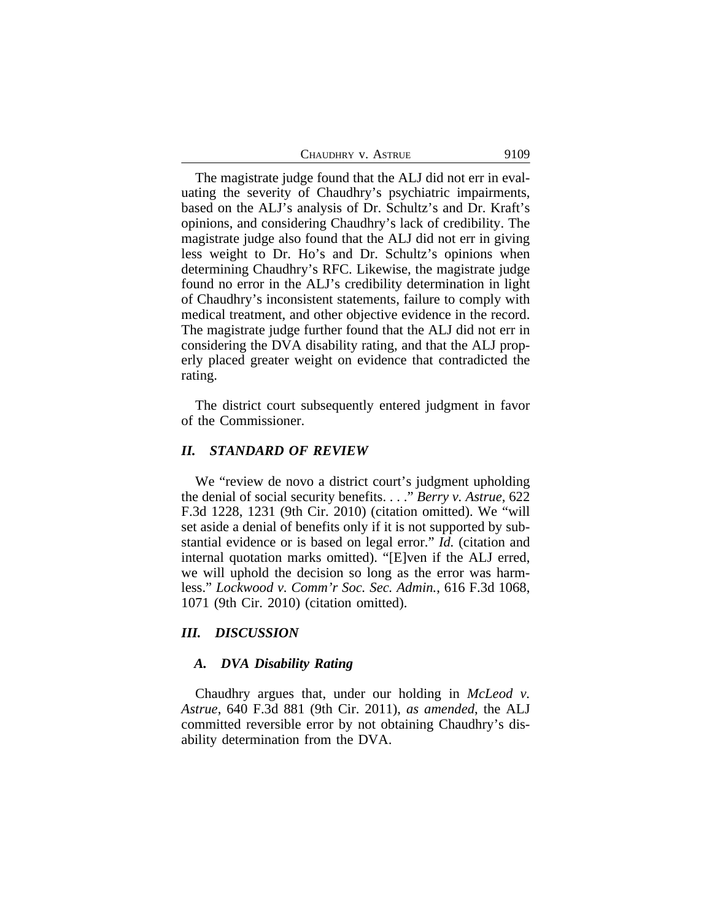| CHAUDHRY V. ASTRUE | 9109 |
|--------------------|------|
|--------------------|------|

The magistrate judge found that the ALJ did not err in evaluating the severity of Chaudhry's psychiatric impairments, based on the ALJ's analysis of Dr. Schultz's and Dr. Kraft's opinions, and considering Chaudhry's lack of credibility. The magistrate judge also found that the ALJ did not err in giving less weight to Dr. Ho's and Dr. Schultz's opinions when determining Chaudhry's RFC. Likewise, the magistrate judge found no error in the ALJ's credibility determination in light of Chaudhry's inconsistent statements, failure to comply with medical treatment, and other objective evidence in the record. The magistrate judge further found that the ALJ did not err in considering the DVA disability rating, and that the ALJ properly placed greater weight on evidence that contradicted the rating.

The district court subsequently entered judgment in favor of the Commissioner.

### *II. STANDARD OF REVIEW*

We "review de novo a district court's judgment upholding the denial of social security benefits. . . ." *Berry v. Astrue*, 622 F.3d 1228, 1231 (9th Cir. 2010) (citation omitted). We "will set aside a denial of benefits only if it is not supported by substantial evidence or is based on legal error." *Id.* (citation and internal quotation marks omitted). "[E]ven if the ALJ erred, we will uphold the decision so long as the error was harmless." *Lockwood v. Comm'r Soc. Sec. Admin.*, 616 F.3d 1068, 1071 (9th Cir. 2010) (citation omitted).

### *III. DISCUSSION*

# *A. DVA Disability Rating*

Chaudhry argues that, under our holding in *McLeod v. Astrue*, 640 F.3d 881 (9th Cir. 2011), *as amended*, the ALJ committed reversible error by not obtaining Chaudhry's disability determination from the DVA.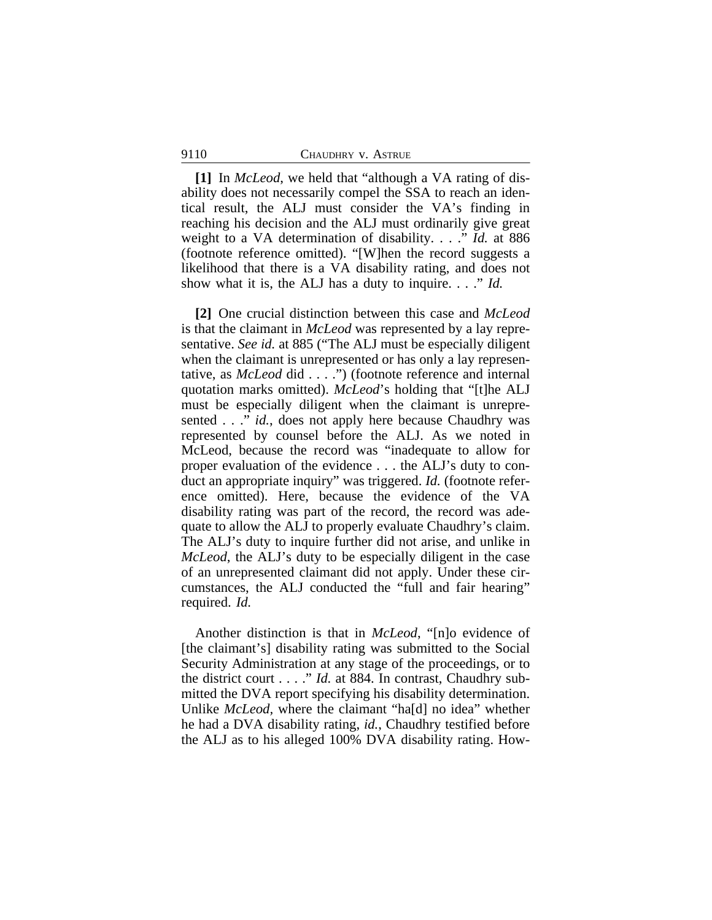**[1]** In *McLeod*, we held that "although a VA rating of disability does not necessarily compel the SSA to reach an identical result, the ALJ must consider the VA's finding in reaching his decision and the ALJ must ordinarily give great weight to a VA determination of disability. . . ." *Id.* at 886 (footnote reference omitted). "[W]hen the record suggests a likelihood that there is a VA disability rating, and does not show what it is, the ALJ has a duty to inquire. . . ." *Id.*

**[2]** One crucial distinction between this case and *McLeod* is that the claimant in *McLeod* was represented by a lay representative. *See id.* at 885 ("The ALJ must be especially diligent when the claimant is unrepresented or has only a lay representative, as *McLeod* did . . . .") (footnote reference and internal quotation marks omitted). *McLeod*'s holding that "[t]he ALJ must be especially diligent when the claimant is unrepresented . . ." *id.*, does not apply here because Chaudhry was represented by counsel before the ALJ. As we noted in McLeod, because the record was "inadequate to allow for proper evaluation of the evidence . . . the ALJ's duty to conduct an appropriate inquiry" was triggered. *Id.* (footnote reference omitted). Here, because the evidence of the VA disability rating was part of the record, the record was adequate to allow the ALJ to properly evaluate Chaudhry's claim. The ALJ's duty to inquire further did not arise, and unlike in *McLeod*, the ALJ's duty to be especially diligent in the case of an unrepresented claimant did not apply. Under these circumstances, the ALJ conducted the "full and fair hearing" required. *Id.* 

Another distinction is that in *McLeod*, "[n]o evidence of [the claimant's] disability rating was submitted to the Social Security Administration at any stage of the proceedings, or to the district court . . . ." *Id.* at 884. In contrast, Chaudhry submitted the DVA report specifying his disability determination. Unlike *McLeod,* where the claimant "ha[d] no idea" whether he had a DVA disability rating, *id.*, Chaudhry testified before the ALJ as to his alleged 100% DVA disability rating. How-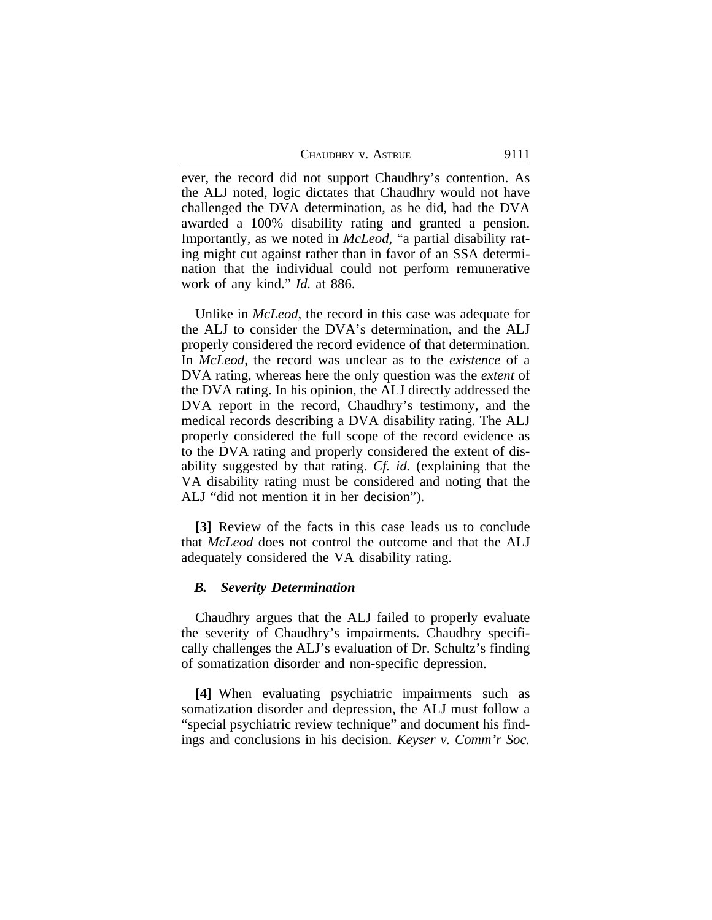| CHAUDHRY V. ASTRUE | 9111 |
|--------------------|------|
|                    |      |

ever, the record did not support Chaudhry's contention. As the ALJ noted, logic dictates that Chaudhry would not have challenged the DVA determination, as he did, had the DVA awarded a 100% disability rating and granted a pension. Importantly, as we noted in *McLeod*, "a partial disability rating might cut against rather than in favor of an SSA determination that the individual could not perform remunerative work of any kind." *Id.* at 886.

Unlike in *McLeod*, the record in this case was adequate for the ALJ to consider the DVA's determination, and the ALJ properly considered the record evidence of that determination. In *McLeod*, the record was unclear as to the *existence* of a DVA rating, whereas here the only question was the *extent* of the DVA rating. In his opinion, the ALJ directly addressed the DVA report in the record, Chaudhry's testimony, and the medical records describing a DVA disability rating. The ALJ properly considered the full scope of the record evidence as to the DVA rating and properly considered the extent of disability suggested by that rating. *Cf. id.* (explaining that the VA disability rating must be considered and noting that the ALJ "did not mention it in her decision").

**[3]** Review of the facts in this case leads us to conclude that *McLeod* does not control the outcome and that the ALJ adequately considered the VA disability rating.

#### *B. Severity Determination*

Chaudhry argues that the ALJ failed to properly evaluate the severity of Chaudhry's impairments. Chaudhry specifically challenges the ALJ's evaluation of Dr. Schultz's finding of somatization disorder and non-specific depression.

**[4]** When evaluating psychiatric impairments such as somatization disorder and depression, the ALJ must follow a "special psychiatric review technique" and document his findings and conclusions in his decision. *Keyser v. Comm'r Soc.*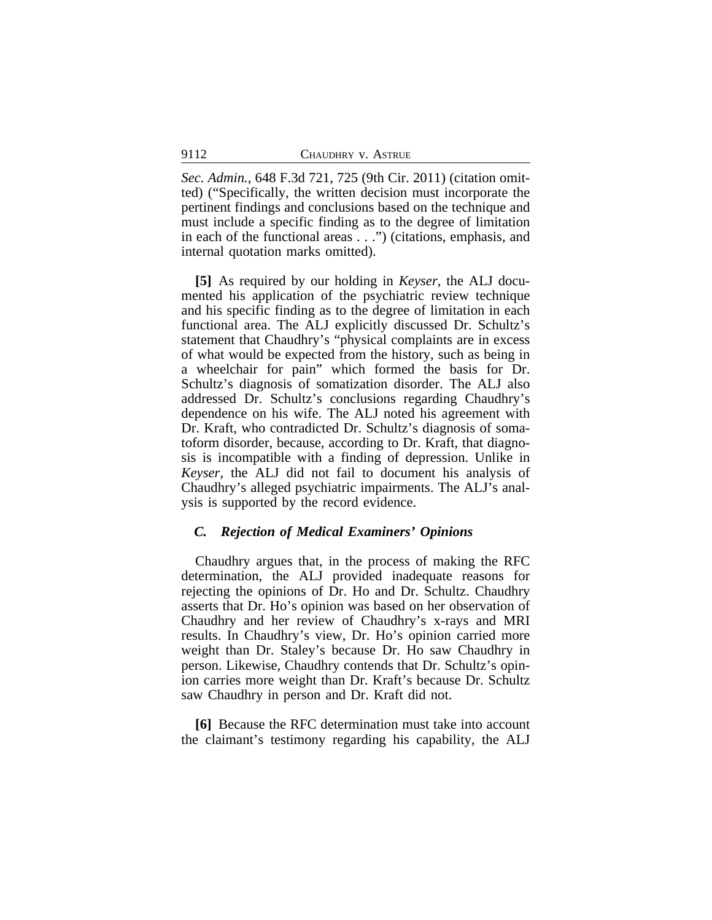*Sec. Admin.*, 648 F.3d 721, 725 (9th Cir. 2011) (citation omitted) ("Specifically, the written decision must incorporate the pertinent findings and conclusions based on the technique and must include a specific finding as to the degree of limitation in each of the functional areas . . .") (citations, emphasis, and internal quotation marks omitted).

**[5]** As required by our holding in *Keyser*, the ALJ documented his application of the psychiatric review technique and his specific finding as to the degree of limitation in each functional area. The ALJ explicitly discussed Dr. Schultz's statement that Chaudhry's "physical complaints are in excess of what would be expected from the history, such as being in a wheelchair for pain" which formed the basis for Dr. Schultz's diagnosis of somatization disorder. The ALJ also addressed Dr. Schultz's conclusions regarding Chaudhry's dependence on his wife. The ALJ noted his agreement with Dr. Kraft, who contradicted Dr. Schultz's diagnosis of somatoform disorder, because, according to Dr. Kraft, that diagnosis is incompatible with a finding of depression. Unlike in *Keyser*, the ALJ did not fail to document his analysis of Chaudhry's alleged psychiatric impairments. The ALJ's analysis is supported by the record evidence.

## *C. Rejection of Medical Examiners' Opinions*

Chaudhry argues that, in the process of making the RFC determination, the ALJ provided inadequate reasons for rejecting the opinions of Dr. Ho and Dr. Schultz. Chaudhry asserts that Dr. Ho's opinion was based on her observation of Chaudhry and her review of Chaudhry's x-rays and MRI results. In Chaudhry's view, Dr. Ho's opinion carried more weight than Dr. Staley's because Dr. Ho saw Chaudhry in person. Likewise, Chaudhry contends that Dr. Schultz's opinion carries more weight than Dr. Kraft's because Dr. Schultz saw Chaudhry in person and Dr. Kraft did not.

**[6]** Because the RFC determination must take into account the claimant's testimony regarding his capability, the ALJ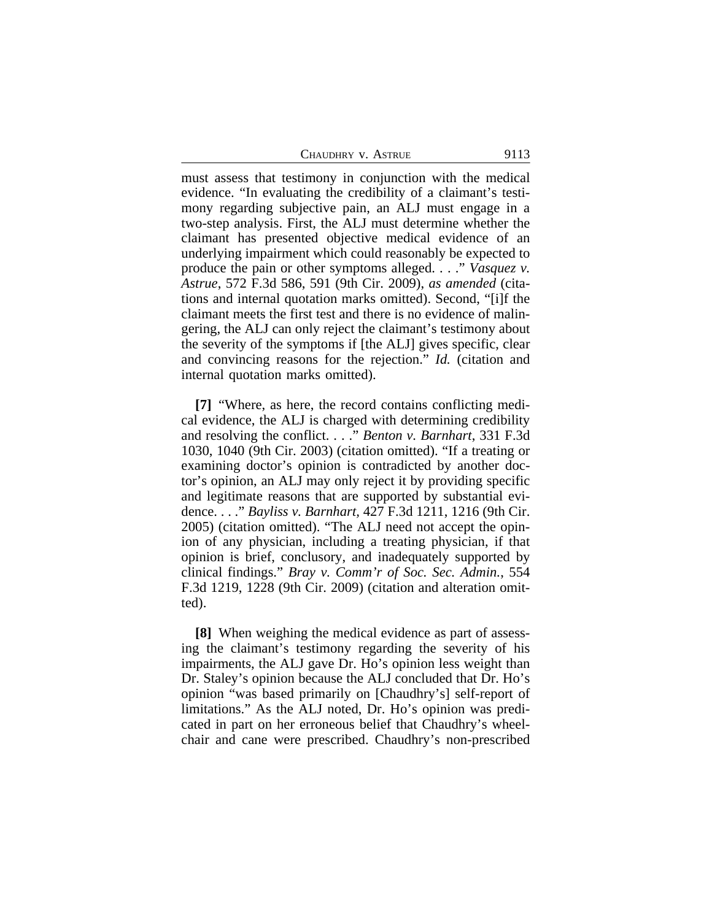must assess that testimony in conjunction with the medical evidence. "In evaluating the credibility of a claimant's testimony regarding subjective pain, an ALJ must engage in a two-step analysis. First, the ALJ must determine whether the claimant has presented objective medical evidence of an underlying impairment which could reasonably be expected to produce the pain or other symptoms alleged. . . ." *Vasquez v. Astrue*, 572 F.3d 586, 591 (9th Cir. 2009), *as amended* (citations and internal quotation marks omitted). Second, "[i]f the claimant meets the first test and there is no evidence of malingering, the ALJ can only reject the claimant's testimony about the severity of the symptoms if [the ALJ] gives specific, clear and convincing reasons for the rejection." *Id.* (citation and internal quotation marks omitted).

**[7]** "Where, as here, the record contains conflicting medical evidence, the ALJ is charged with determining credibility and resolving the conflict. . . ." *Benton v. Barnhart*, 331 F.3d 1030, 1040 (9th Cir. 2003) (citation omitted). "If a treating or examining doctor's opinion is contradicted by another doctor's opinion, an ALJ may only reject it by providing specific and legitimate reasons that are supported by substantial evidence. . . ." *Bayliss v. Barnhart,* 427 F.3d 1211, 1216 (9th Cir. 2005) (citation omitted). "The ALJ need not accept the opinion of any physician, including a treating physician, if that opinion is brief, conclusory, and inadequately supported by clinical findings." *Bray v. Comm'r of Soc. Sec. Admin.*, 554 F.3d 1219, 1228 (9th Cir. 2009) (citation and alteration omitted).

**[8]** When weighing the medical evidence as part of assessing the claimant's testimony regarding the severity of his impairments, the ALJ gave Dr. Ho's opinion less weight than Dr. Staley's opinion because the ALJ concluded that Dr. Ho's opinion "was based primarily on [Chaudhry's] self-report of limitations." As the ALJ noted, Dr. Ho's opinion was predicated in part on her erroneous belief that Chaudhry's wheelchair and cane were prescribed. Chaudhry's non-prescribed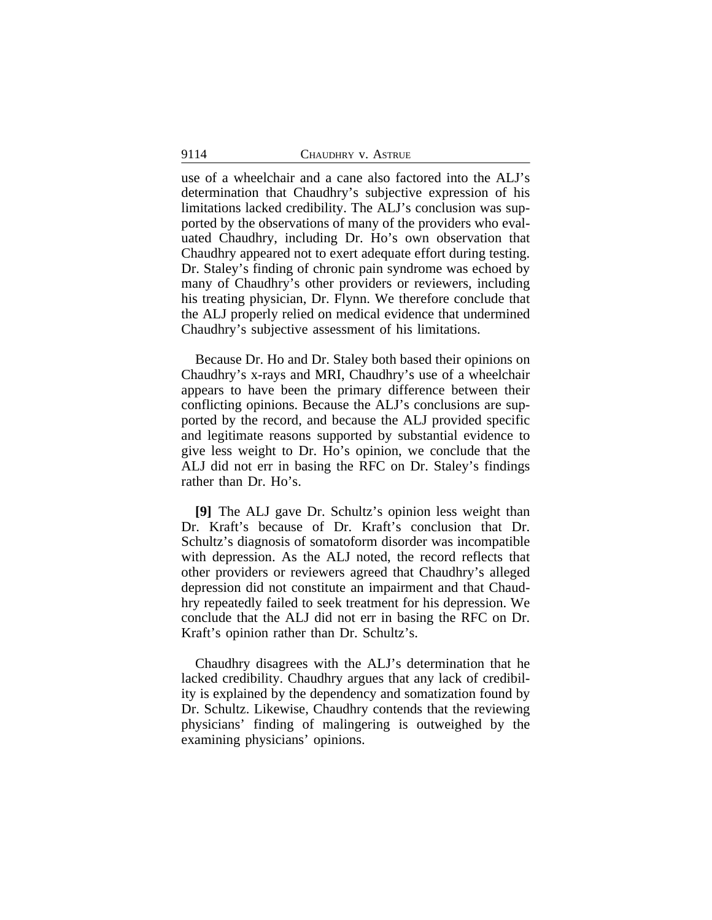use of a wheelchair and a cane also factored into the ALJ's determination that Chaudhry's subjective expression of his limitations lacked credibility. The ALJ's conclusion was supported by the observations of many of the providers who evaluated Chaudhry, including Dr. Ho's own observation that Chaudhry appeared not to exert adequate effort during testing. Dr. Staley's finding of chronic pain syndrome was echoed by many of Chaudhry's other providers or reviewers, including his treating physician, Dr. Flynn. We therefore conclude that the ALJ properly relied on medical evidence that undermined Chaudhry's subjective assessment of his limitations.

Because Dr. Ho and Dr. Staley both based their opinions on Chaudhry's x-rays and MRI, Chaudhry's use of a wheelchair appears to have been the primary difference between their conflicting opinions. Because the ALJ's conclusions are supported by the record, and because the ALJ provided specific and legitimate reasons supported by substantial evidence to give less weight to Dr. Ho's opinion, we conclude that the ALJ did not err in basing the RFC on Dr. Staley's findings rather than Dr. Ho's.

**[9]** The ALJ gave Dr. Schultz's opinion less weight than Dr. Kraft's because of Dr. Kraft's conclusion that Dr. Schultz's diagnosis of somatoform disorder was incompatible with depression. As the ALJ noted, the record reflects that other providers or reviewers agreed that Chaudhry's alleged depression did not constitute an impairment and that Chaudhry repeatedly failed to seek treatment for his depression. We conclude that the ALJ did not err in basing the RFC on Dr. Kraft's opinion rather than Dr. Schultz's.

Chaudhry disagrees with the ALJ's determination that he lacked credibility. Chaudhry argues that any lack of credibility is explained by the dependency and somatization found by Dr. Schultz. Likewise, Chaudhry contends that the reviewing physicians' finding of malingering is outweighed by the examining physicians' opinions.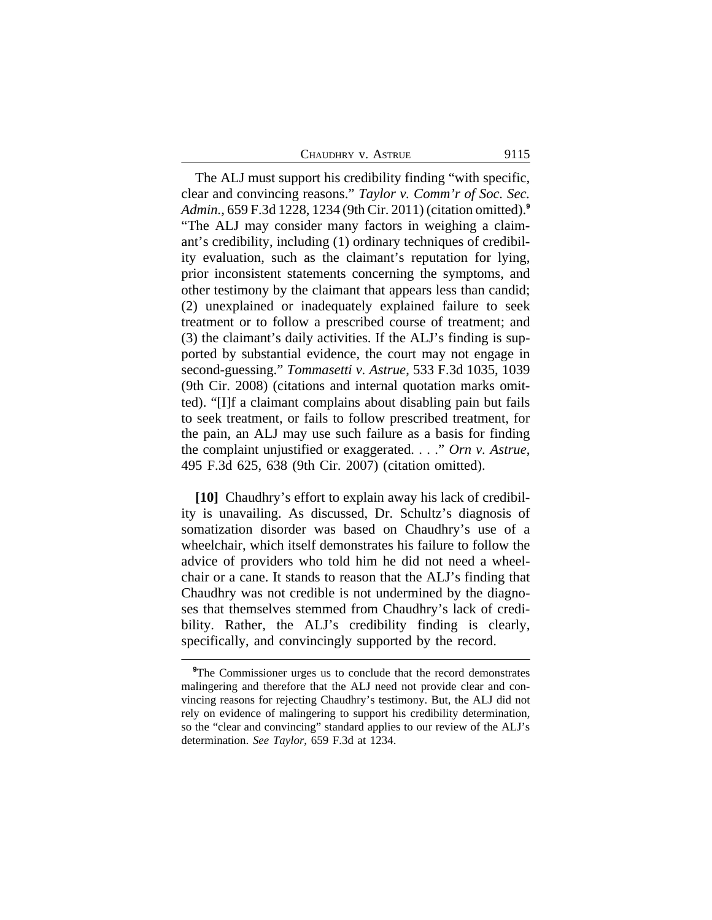| CHAUDHRY V. ASTRUE<br>9115 |
|----------------------------|
|                            |

The ALJ must support his credibility finding "with specific, clear and convincing reasons." *Taylor v. Comm'r of Soc. Sec. Admin.*, 659 F.3d 1228, 1234 (9th Cir. 2011) (citation omitted).**<sup>9</sup>** "The ALJ may consider many factors in weighing a claimant's credibility, including (1) ordinary techniques of credibility evaluation, such as the claimant's reputation for lying, prior inconsistent statements concerning the symptoms, and other testimony by the claimant that appears less than candid; (2) unexplained or inadequately explained failure to seek treatment or to follow a prescribed course of treatment; and (3) the claimant's daily activities. If the ALJ's finding is supported by substantial evidence, the court may not engage in second-guessing." *Tommasetti v. Astrue*, 533 F.3d 1035, 1039 (9th Cir. 2008) (citations and internal quotation marks omitted). "[I]f a claimant complains about disabling pain but fails to seek treatment, or fails to follow prescribed treatment, for the pain, an ALJ may use such failure as a basis for finding the complaint unjustified or exaggerated. . . ." *Orn v. Astrue*, 495 F.3d 625, 638 (9th Cir. 2007) (citation omitted).

**[10]** Chaudhry's effort to explain away his lack of credibility is unavailing. As discussed, Dr. Schultz's diagnosis of somatization disorder was based on Chaudhry's use of a wheelchair, which itself demonstrates his failure to follow the advice of providers who told him he did not need a wheelchair or a cane. It stands to reason that the ALJ's finding that Chaudhry was not credible is not undermined by the diagnoses that themselves stemmed from Chaudhry's lack of credibility. Rather, the ALJ's credibility finding is clearly, specifically, and convincingly supported by the record.

<sup>&</sup>lt;sup>9</sup>The Commissioner urges us to conclude that the record demonstrates malingering and therefore that the ALJ need not provide clear and convincing reasons for rejecting Chaudhry's testimony. But, the ALJ did not rely on evidence of malingering to support his credibility determination, so the "clear and convincing" standard applies to our review of the ALJ's determination. *See Taylor*, 659 F.3d at 1234.